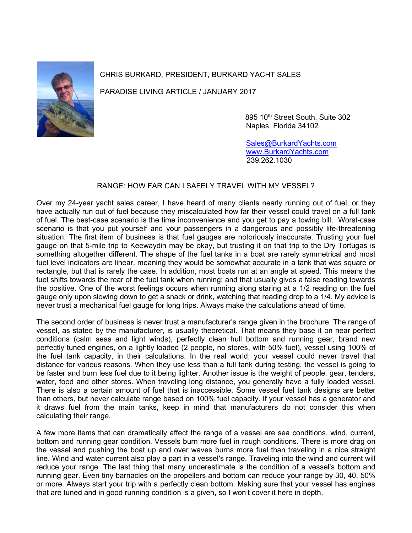

CHRIS BURKARD, PRESIDENT, BURKARD YACHT SALES

PARADISE LIVING ARTICLE / JANUARY 2017

895 10<sup>th</sup> Street South. Suite 302 Naples, Florida 34102

 [Sales@BurkardYachts.com](mailto:Sales@BurkardYachts.com) [www.BurkardYachts.com](http://www.burkardyachts.com/) 239.262.1030

## RANGE: HOW FAR CAN I SAFELY TRAVEL WITH MY VESSEL?

Over my 24-year yacht sales career, I have heard of many clients nearly running out of fuel, or they have actually run out of fuel because they miscalculated how far their vessel could travel on a full tank of fuel. The best-case scenario is the time inconvenience and you get to pay a towing bill. Worst-case scenario is that you put yourself and your passengers in a dangerous and possibly life-threatening situation. The first item of business is that fuel gauges are notoriously inaccurate. Trusting your fuel gauge on that 5-mile trip to Keewaydin may be okay, but trusting it on that trip to the Dry Tortugas is something altogether different. The shape of the fuel tanks in a boat are rarely symmetrical and most fuel level indicators are linear, meaning they would be somewhat accurate in a tank that was square or rectangle, but that is rarely the case. In addition, most boats run at an angle at speed. This means the fuel shifts towards the rear of the fuel tank when running; and that usually gives a false reading towards the positive. One of the worst feelings occurs when running along staring at a 1/2 reading on the fuel gauge only upon slowing down to get a snack or drink, watching that reading drop to a 1/4. My advice is never trust a mechanical fuel gauge for long trips. Always make the calculations ahead of time.

The second order of business is never trust a manufacturer's range given in the brochure. The range of vessel, as stated by the manufacturer, is usually theoretical. That means they base it on near perfect conditions (calm seas and light winds), perfectly clean hull bottom and running gear, brand new perfectly tuned engines, on a lightly loaded (2 people, no stores, with 50% fuel), vessel using 100% of the fuel tank capacity, in their calculations. In the real world, your vessel could never travel that distance for various reasons. When they use less than a full tank during testing, the vessel is going to be faster and burn less fuel due to it being lighter. Another issue is the weight of people, gear, tenders, water, food and other stores. When traveling long distance, you generally have a fully loaded vessel. There is also a certain amount of fuel that is inaccessible. Some vessel fuel tank designs are better than others, but never calculate range based on 100% fuel capacity. If your vessel has a generator and it draws fuel from the main tanks, keep in mind that manufacturers do not consider this when calculating their range.

A few more items that can dramatically affect the range of a vessel are sea conditions, wind, current, bottom and running gear condition. Vessels burn more fuel in rough conditions. There is more drag on the vessel and pushing the boat up and over waves burns more fuel than traveling in a nice straight line. Wind and water current also play a part in a vessel's range. Traveling into the wind and current will reduce your range. The last thing that many underestimate is the condition of a vessel's bottom and running gear. Even tiny barnacles on the propellers and bottom can reduce your range by 30, 40, 50% or more. Always start your trip with a perfectly clean bottom. Making sure that your vessel has engines that are tuned and in good running condition is a given, so I won't cover it here in depth.